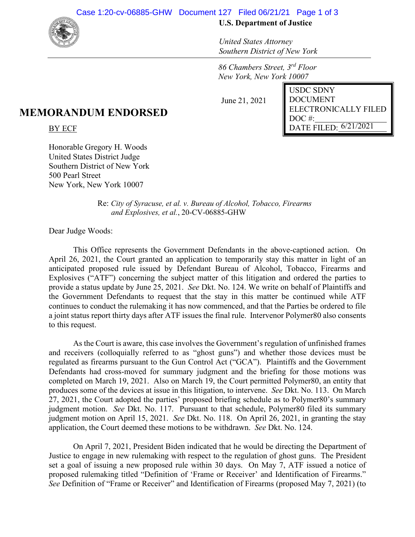

## **U.S. Department of Justice**

*United States Attorney Southern District of New York*

*86 Chambers Street, 3rd Floor New York, New York 10007* 

June 21, 2021

| <b>USDC SDNY</b>                   |
|------------------------------------|
| <b>DOCUMENT</b>                    |
| ELECTRONICALLY FILED               |
| $DOC$ #:                           |
| DATE FILED: $6/21/20\overline{21}$ |
|                                    |

## **MEMORANDUM ENDORSED**

BY ECF

Honorable Gregory H. Woods United States District Judge Southern District of New York 500 Pearl Street New York, New York 10007

> Re: *City of Syracuse, et al. v. Bureau of Alcohol, Tobacco, Firearms and Explosives, et al.*, 20-CV-06885-GHW

Dear Judge Woods:

This Office represents the Government Defendants in the above-captioned action. On April 26, 2021, the Court granted an application to temporarily stay this matter in light of an anticipated proposed rule issued by Defendant Bureau of Alcohol, Tobacco, Firearms and Explosives ("ATF") concerning the subject matter of this litigation and ordered the parties to provide a status update by June 25, 2021. *See* Dkt. No. 124. We write on behalf of Plaintiffs and the Government Defendants to request that the stay in this matter be continued while ATF continues to conduct the rulemaking it has now commenced, and that the Parties be ordered to file a joint status report thirty days after ATF issues the final rule. Intervenor Polymer80 also consents to this request.

As the Court is aware, this case involves the Government's regulation of unfinished frames and receivers (colloquially referred to as "ghost guns") and whether those devices must be regulated as firearms pursuant to the Gun Control Act ("GCA"). Plaintiffs and the Government Defendants had cross-moved for summary judgment and the briefing for those motions was completed on March 19, 2021. Also on March 19, the Court permitted Polymer80, an entity that produces some of the devices at issue in this litigation, to intervene. *See* Dkt. No. 113. On March 27, 2021, the Court adopted the parties' proposed briefing schedule as to Polymer80's summary judgment motion. *See* Dkt. No. 117. Pursuant to that schedule, Polymer80 filed its summary judgment motion on April 15, 2021. *See* Dkt. No. 118. On April 26, 2021, in granting the stay application, the Court deemed these motions to be withdrawn. *See* Dkt. No. 124.

On April 7, 2021, President Biden indicated that he would be directing the Department of Justice to engage in new rulemaking with respect to the regulation of ghost guns. The President set a goal of issuing a new proposed rule within 30 days. On May 7, ATF issued a notice of proposed rulemaking titled "Definition of 'Frame or Receiver' and Identification of Firearms." *See* Definition of "Frame or Receiver" and Identification of Firearms (proposed May 7, 2021) (to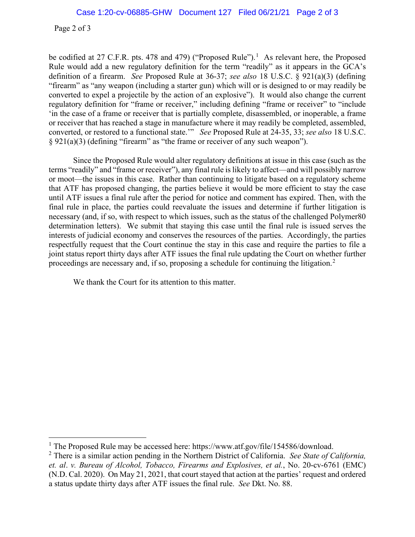Page 2 of 3

be codified at 27 C.F.R. pts. 478 and 479) ("Proposed Rule").<sup>1</sup> As relevant here, the Proposed Rule would add a new regulatory definition for the term "readily" as it appears in the GCA's definition of a firearm. *See* Proposed Rule at 36-37; *see also* 18 U.S.C. § 921(a)(3) (defining "firearm" as "any weapon (including a starter gun) which will or is designed to or may readily be converted to expel a projectile by the action of an explosive"). It would also change the current regulatory definition for "frame or receiver," including defining "frame or receiver" to "include 'in the case of a frame or receiver that is partially complete, disassembled, or inoperable, a frame or receiver that has reached a stage in manufacture where it may readily be completed, assembled, converted, or restored to a functional state.'" *See* Proposed Rule at 24-35, 33; *see also* 18 U.S.C. § 921(a)(3) (defining "firearm" as "the frame or receiver of any such weapon").

Since the Proposed Rule would alter regulatory definitions at issue in this case (such as the terms "readily" and "frame or receiver"), any final rule is likely to affect—and will possibly narrow or moot—the issues in this case. Rather than continuing to litigate based on a regulatory scheme that ATF has proposed changing, the parties believe it would be more efficient to stay the case until ATF issues a final rule after the period for notice and comment has expired. Then, with the final rule in place, the parties could reevaluate the issues and determine if further litigation is necessary (and, if so, with respect to which issues, such as the status of the challenged Polymer80 determination letters). We submit that staying this case until the final rule is issued serves the interests of judicial economy and conserves the resources of the parties. Accordingly, the parties respectfully request that the Court continue the stay in this case and require the parties to file a joint status report thirty days after ATF issues the final rule updating the Court on whether further proceedings are necessary and, if so, proposing a schedule for continuing the litigation.<sup>2</sup>

We thank the Court for its attention to this matter.

<sup>&</sup>lt;sup>1</sup> The Proposed Rule may be accessed here: https://www.atf.gov/file/154586/download.

<sup>2</sup> There is a similar action pending in the Northern District of California. *See State of California, et. al*. *v. Bureau of Alcohol, Tobacco, Firearms and Explosives, et al.*, No. 20-cv-6761 (EMC) (N.D. Cal. 2020). On May 21, 2021, that court stayed that action at the parties' request and ordered a status update thirty days after ATF issues the final rule. *See* Dkt. No. 88.